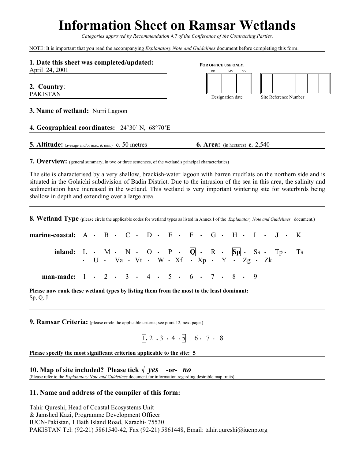# **Information Sheet on Ramsar Wetlands**

*Categories approved by Recommendation 4.7 of the Conference of the Contracting Parties.*

NOTE: It is important that you read the accompanying *Explanatory Note and Guidelines* document before completing this form.

| 1. Date this sheet was completed/updated:              | FOR OFFICE USE ONLY.                          |                       |
|--------------------------------------------------------|-----------------------------------------------|-----------------------|
| April 24, 2001                                         | MM<br>DD<br>YY                                |                       |
| 2. Country:<br><b>PAKISTAN</b>                         |                                               |                       |
|                                                        | Designation date                              | Site Reference Number |
| <b>3. Name of wetland:</b> Nurri Lagoon                |                                               |                       |
| 4. Geographical coordinates: 24°30' N, 68°70'E         |                                               |                       |
| 5. Altitude: (average and/or max. & min.) c. 50 metres | <b>6. Area:</b> (in hectares) <b>c.</b> 2,540 |                       |

**7. Overview:** (general summary, in two or three sentences, of the wetland's principal characteristics)

The site is characterised by a very shallow, brackish-water lagoon with barren mudflats on the northern side and is situated in the Golaichi subdivision of Badin District. Due to the intrusion of the sea in this area, the salinity and sedimentation have increased in the wetland. This wetland is very important wintering site for waterbirds being shallow in depth and extending over a large area.

**8. Wetland Type** (please circle the applicable codes for wetland types as listed in Annex I of the *Explanatory Note and Guidelines* document.)

| marine-coastal: $A \cdot B \cdot C \cdot D \cdot E \cdot F \cdot G \cdot H \cdot I \cdot J \cdot K$ |  |  |  |  |                                                                                                 |  |  |  |  |  |
|-----------------------------------------------------------------------------------------------------|--|--|--|--|-------------------------------------------------------------------------------------------------|--|--|--|--|--|
| inland: $L \cdot M \cdot N \cdot O \cdot P \cdot Q \cdot R \cdot Sp \cdot Ss \cdot Tp \cdot Ts$     |  |  |  |  | $\cdot$ U $\cdot$ Va $\cdot$ Vt $\cdot$ W $\cdot$ Xf $\cdot$ Xp $\cdot$ Y $\cdot$ Zg $\cdot$ Zk |  |  |  |  |  |
| man-made: $1 \cdot 2 \cdot 3 \cdot 4 \cdot 5 \cdot 6 \cdot 7 \cdot 8 \cdot 9$                       |  |  |  |  |                                                                                                 |  |  |  |  |  |

**Please now rank these wetland types by listing them from the most to the least dominant:**  Sp, Q, J

**9. Ramsar Criteria:** (please circle the applicable criteria; see point 12, next page.)

$$
1.2 .3 .4 .5 .6 . 7 . 8
$$

**Please specify the most significant criterion applicable to the site: 5**

**10. Map of site included? Please tick** √*yes* **-or-** *no* (Please refer to the *Explanatory Note and Guidelines* document for information regarding desirable map traits).

## **11. Name and address of the compiler of this form:**

Tahir Qureshi, Head of Coastal Ecosystems Unit & Jamshed Kazi, Programme Development Officer IUCN-Pakistan, 1 Bath Island Road, Karachi- 75530 PAKISTAN Tel: (92-21) 5861540-42, Fax (92-21) 5861448, Email: tahir.qureshi@iucnp.org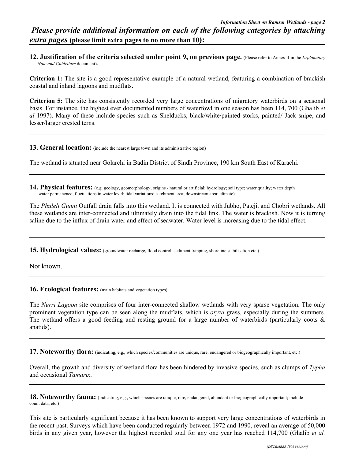*extra pages* **(please limit extra pages to no more than 10):**

**12. Justification of the criteria selected under point 9, on previous page.** (Please refer to Annex II in the *Explanatory Note and Guidelines* document)**.**

**Criterion 1:** The site is a good representative example of a natural wetland, featuring a combination of brackish coastal and inland lagoons and mudflats.

**Criterion 5:** The site has consistently recorded very large concentrations of migratory waterbirds on a seasonal basis. For instance, the highest ever documented numbers of waterfowl in one season has been 114, 700 (Ghalib *et al* 1997). Many of these include species such as Shelducks, black/white/painted storks, painted/ Jack snipe, and lesser/larger crested terns.

#### **13. General location:** (include the nearest large town and its administrative region)

The wetland is situated near Golarchi in Badin District of Sindh Province, 190 km South East of Karachi.

14. Physical features: (e.g. geology, geomorphology; origins - natural or artificial; hydrology; soil type; water quality; water depth water permanence; fluctuations in water level; tidal variations; catchment area; downstream area; climate)

The *Phuleli Gunni* Outfall drain falls into this wetland. It is connected with Jubho, Pateji, and Chobri wetlands. All these wetlands are inter-connected and ultimately drain into the tidal link. The water is brackish. Now it is turning saline due to the influx of drain water and effect of seawater. Water level is increasing due to the tidal effect.

15. Hydrological values: (groundwater recharge, flood control, sediment trapping, shoreline stabilisation etc.)

Not known.

**16. Ecological features:** (main habitats and vegetation types)

The *Nurri Lagoon* site comprises of four inter-connected shallow wetlands with very sparse vegetation. The only prominent vegetation type can be seen along the mudflats, which is *oryza* grass, especially during the summers. The wetland offers a good feeding and resting ground for a large number of waterbirds (particularly coots  $\&$ anatids).

**17. Noteworthy flora:** (indicating, e.g., which species/communities are unique, rare, endangered or biogeographically important, etc.)

Overall, the growth and diversity of wetland flora has been hindered by invasive species, such as clumps of *Typha* and occasional *Tamarix*.

**18. Noteworthy fauna:** (indicating, e.g., which species are unique, rare, endangered, abundant or biogeographically important; include count data, etc.)

This site is particularly significant because it has been known to support very large concentrations of waterbirds in the recent past. Surveys which have been conducted regularly between 1972 and 1990, reveal an average of 50,000 birds in any given year, however the highest recorded total for any one year has reached 114,700 (Ghalib *et al.*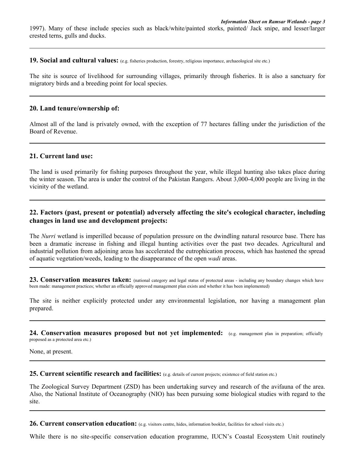1997). Many of these include species such as black/white/painted storks, painted/ Jack snipe, and lesser/larger crested terns, gulls and ducks.

**19. Social and cultural values:** (e.g. fisheries production, forestry, religious importance, archaeological site etc.)

The site is source of livelihood for surrounding villages, primarily through fisheries. It is also a sanctuary for migratory birds and a breeding point for local species.

#### **20. Land tenure/ownership of:**

Almost all of the land is privately owned, with the exception of 77 hectares falling under the jurisdiction of the Board of Revenue.

## **21. Current land use:**

The land is used primarily for fishing purposes throughout the year, while illegal hunting also takes place during the winter season. The area is under the control of the Pakistan Rangers. About 3,000-4,000 people are living in the vicinity of the wetland.

# **22. Factors (past, present or potential) adversely affecting the site's ecological character, including changes in land use and development projects:**

The *Nurri* wetland is imperilled because of population pressure on the dwindling natural resource base. There has been a dramatic increase in fishing and illegal hunting activities over the past two decades. Agricultural and industrial pollution from adjoining areas has accelerated the eutrophication process, which has hastened the spread of aquatic vegetation/weeds, leading to the disappearance of the open *wadi* areas.

23. Conservation measures taken: (national category and legal status of protected areas - including any boundary changes which have been made: management practices; whether an officially approved management plan exists and whether it has been implemented)

The site is neither explicitly protected under any environmental legislation, nor having a management plan prepared.

**24. Conservation measures proposed but not yet implemented:** (e.g. management plan in preparation; officially proposed as a protected area etc.)

None, at present.

**25. Current scientific research and facilities:** (e.g. details of current projects; existence of field station etc.)

The Zoological Survey Department (ZSD) has been undertaking survey and research of the avifauna of the area. Also, the National Institute of Oceanography (NIO) has been pursuing some biological studies with regard to the site.

26. Current conservation education: (e.g. visitors centre, hides, information booklet, facilities for school visits etc.)

While there is no site-specific conservation education programme, IUCN's Coastal Ecosystem Unit routinely